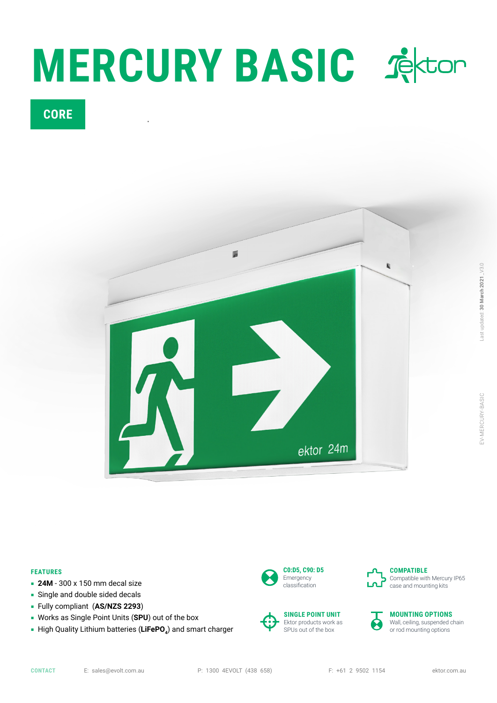

## **CORE**



## **FEATURES**

- **24M** 300 x 150 mm decal size
- Single and double sided decals
- Fully compliant (**AS/NZS 2293**)
- Works as Single Point Units (**SPU**) out of the box
- **High Quality Lithium batteries (LiFePO**<sub>4</sub>) and smart charger









#### **MOUNTING OPTIONS** Wall, ceiling, suspended chain or rod mounting options

**CONTACT** E: sales@evolt.com.au P: 1300 4EVOLT (438 658) F: +61 2 9502 1154 ektor.com.au